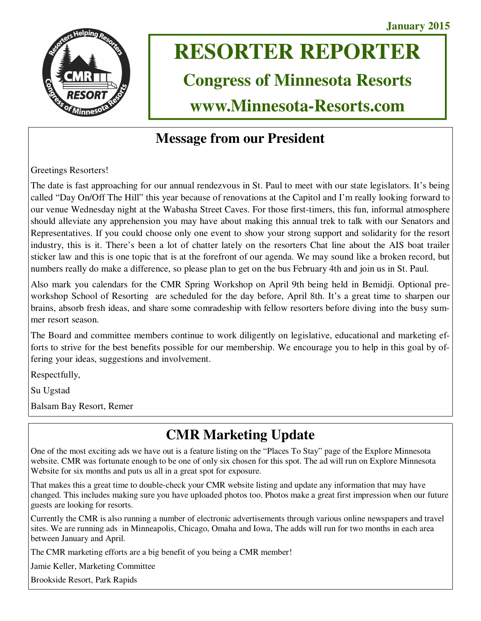

# **RESORTER REPORTER**

# **Congress of Minnesota Resorts**

**www.Minnesota-Resorts.com** 

### **Message from our President**

Greetings Resorters!

The date is fast approaching for our annual rendezvous in St. Paul to meet with our state legislators. It's being called "Day On/Off The Hill" this year because of renovations at the Capitol and I'm really looking forward to our venue Wednesday night at the Wabasha Street Caves. For those first-timers, this fun, informal atmosphere should alleviate any apprehension you may have about making this annual trek to talk with our Senators and Representatives. If you could choose only one event to show your strong support and solidarity for the resort industry, this is it. There's been a lot of chatter lately on the resorters Chat line about the AIS boat trailer sticker law and this is one topic that is at the forefront of our agenda. We may sound like a broken record, but numbers really do make a difference, so please plan to get on the bus February 4th and join us in St. Paul.

Also mark you calendars for the CMR Spring Workshop on April 9th being held in Bemidji. Optional preworkshop School of Resorting are scheduled for the day before, April 8th. It's a great time to sharpen our brains, absorb fresh ideas, and share some comradeship with fellow resorters before diving into the busy summer resort season.

The Board and committee members continue to work diligently on legislative, educational and marketing efforts to strive for the best benefits possible for our membership. We encourage you to help in this goal by offering your ideas, suggestions and involvement.

Respectfully,

Su Ugstad

Balsam Bay Resort, Remer

# **CMR Marketing Update**

One of the most exciting ads we have out is a feature listing on the "Places To Stay" page of the Explore Minnesota website. CMR was fortunate enough to be one of only six chosen for this spot. The ad will run on Explore Minnesota Website for six months and puts us all in a great spot for exposure.

That makes this a great time to double-check your CMR website listing and update any information that may have changed. This includes making sure you have uploaded photos too. Photos make a great first impression when our future guests are looking for resorts.

Currently the CMR is also running a number of electronic advertisements through various online newspapers and travel sites. We are running ads in Minneapolis, Chicago, Omaha and Iowa, The adds will run for two months in each area between January and April.

The CMR marketing efforts are a big benefit of you being a CMR member!

Jamie Keller, Marketing Committee

Brookside Resort, Park Rapids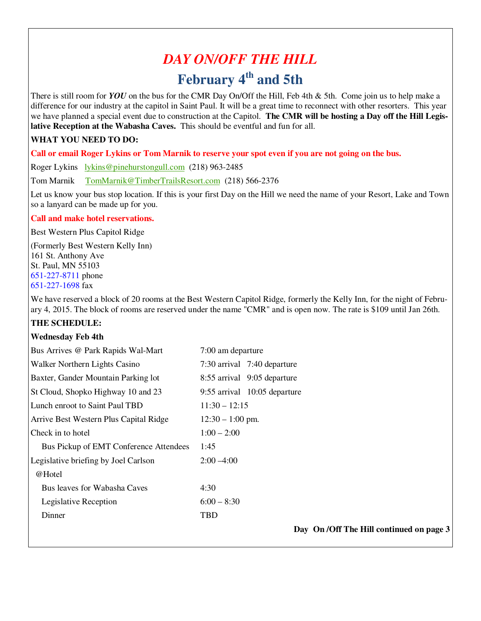# *DAY ON/OFF THE HILL*  **February 4th and 5th**

There is still room for *YOU* on the bus for the CMR Day On/Off the Hill, Feb 4th & 5th. Come join us to help make a difference for our industry at the capitol in Saint Paul. It will be a great time to reconnect with other resorters. This year we have planned a special event due to construction at the Capitol. **The CMR will be hosting a Day off the Hill Legislative Reception at the Wabasha Caves.** This should be eventful and fun for all.

#### **WHAT YOU NEED TO DO:**

**Call or email Roger Lykins or Tom Marnik to reserve your spot even if you are not going on the bus.**

Roger Lykins lykins@pinehurstongull.com (218) 963-2485

Tom Marnik TomMarnik@TimberTrailsResort.com (218) 566-2376

Let us know your bus stop location. If this is your first Day on the Hill we need the name of your Resort, Lake and Town so a lanyard can be made up for you.

#### **Call and make hotel reservations.**

Best Western Plus Capitol Ridge

(Formerly Best Western Kelly Inn) 161 St. Anthony Ave St. Paul, MN 55103 651-227-8711 phone 651-227-1698 fax

We have reserved a block of 20 rooms at the Best Western Capitol Ridge, formerly the Kelly Inn, for the night of February 4, 2015. The block of rooms are reserved under the name "CMR" and is open now. The rate is \$109 until Jan 26th.

#### **THE SCHEDULE:**

#### **Wednesday Feb 4th**

| Bus Arrives @ Park Rapids Wal-Mart     | 7:00 am departure                        |
|----------------------------------------|------------------------------------------|
| Walker Northern Lights Casino          | 7:30 arrival 7:40 departure              |
| Baxter, Gander Mountain Parking lot    | 8:55 arrival 9:05 departure              |
| St Cloud, Shopko Highway 10 and 23     | 9:55 arrival 10:05 departure             |
| Lunch enroot to Saint Paul TBD         | $11:30 - 12:15$                          |
| Arrive Best Western Plus Capital Ridge | $12:30 - 1:00$ pm.                       |
| Check in to hotel                      | $1:00 - 2:00$                            |
| Bus Pickup of EMT Conference Attendees | 1:45                                     |
| Legislative briefing by Joel Carlson   | $2:00 - 4:00$                            |
| @Hotel                                 |                                          |
| Bus leaves for Wabasha Caves           | 4:30                                     |
| Legislative Reception                  | $6:00 - 8:30$                            |
| Dinner                                 | TBD                                      |
|                                        | Day On /Off The Hill continued on page 3 |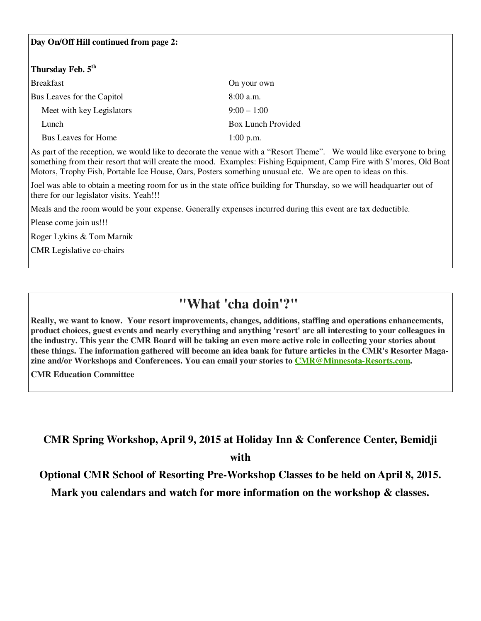#### **Day On/Off Hill continued from page 2:**

#### **Thursday Feb. 5th**

| Breakfast                  | On your own               |
|----------------------------|---------------------------|
| Bus Leaves for the Capitol | $8:00$ a.m.               |
| Meet with key Legislators  | $9:00 - 1:00$             |
| Lunch                      | <b>Box Lunch Provided</b> |
| Bus Leaves for Home        | $1:00$ p.m.               |

As part of the reception, we would like to decorate the venue with a "Resort Theme". We would like everyone to bring something from their resort that will create the mood. Examples: Fishing Equipment, Camp Fire with S'mores, Old Boat Motors, Trophy Fish, Portable Ice House, Oars, Posters something unusual etc. We are open to ideas on this.

Joel was able to obtain a meeting room for us in the state office building for Thursday, so we will headquarter out of there for our legislator visits. Yeah!!!

Meals and the room would be your expense. Generally expenses incurred during this event are tax deductible.

Please come join us!!!

Roger Lykins & Tom Marnik

CMR Legislative co-chairs

### **"What 'cha doin'?"**

**Really, we want to know. Your resort improvements, changes, additions, staffing and operations enhancements, product choices, guest events and nearly everything and anything 'resort' are all interesting to your colleagues in the industry. This year the CMR Board will be taking an even more active role in collecting your stories about these things. The information gathered will become an idea bank for future articles in the CMR's Resorter Magazine and/or Workshops and Conferences. You can email your stories to CMR@Minnesota-Resorts.com.** 

**CMR Education Committee**

**CMR Spring Workshop, April 9, 2015 at Holiday Inn & Conference Center, Bemidji with** 

**Optional CMR School of Resorting Pre-Workshop Classes to be held on April 8, 2015.** 

**Mark you calendars and watch for more information on the workshop & classes.**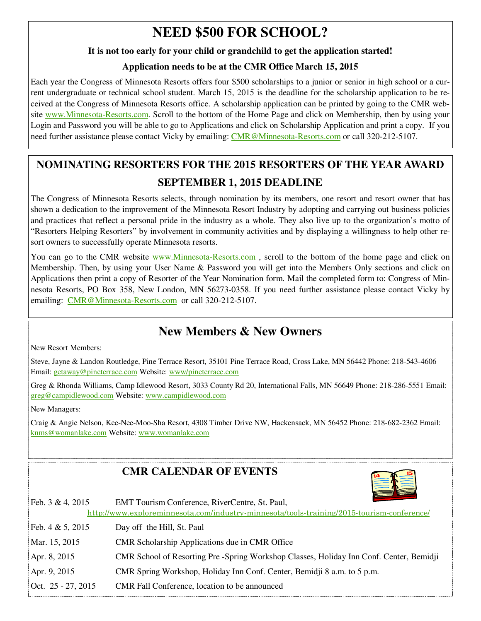## **NEED \$500 FOR SCHOOL?**

#### **It is not too early for your child or grandchild to get the application started!**

#### **Application needs to be at the CMR Office March 15, 2015**

Each year the Congress of Minnesota Resorts offers four \$500 scholarships to a junior or senior in high school or a current undergraduate or technical school student. March 15, 2015 is the deadline for the scholarship application to be received at the Congress of Minnesota Resorts office. A scholarship application can be printed by going to the CMR website www.Minnesota-Resorts.com. Scroll to the bottom of the Home Page and click on Membership, then by using your Login and Password you will be able to go to Applications and click on Scholarship Application and print a copy. If you need further assistance please contact Vicky by emailing: CMR@Minnesota-Resorts.com or call 320-212-5107.

### **NOMINATING RESORTERS FOR THE 2015 RESORTERS OF THE YEAR AWARD SEPTEMBER 1, 2015 DEADLINE**

The Congress of Minnesota Resorts selects, through nomination by its members, one resort and resort owner that has shown a dedication to the improvement of the Minnesota Resort Industry by adopting and carrying out business policies and practices that reflect a personal pride in the industry as a whole. They also live up to the organization's motto of "Resorters Helping Resorters" by involvement in community activities and by displaying a willingness to help other resort owners to successfully operate Minnesota resorts.

You can go to the CMR website www.Minnesota-Resorts.com, scroll to the bottom of the home page and click on Membership. Then, by using your User Name & Password you will get into the Members Only sections and click on Applications then print a copy of Resorter of the Year Nomination form. Mail the completed form to: Congress of Minnesota Resorts, PO Box 358, New London, MN 56273-0358. If you need further assistance please contact Vicky by emailing: CMR@Minnesota-Resorts.com or call 320-212-5107.

### **New Members & New Owners**

New Resort Members:

Steve, Jayne & Landon Routledge, Pine Terrace Resort, 35101 Pine Terrace Road, Cross Lake, MN 56442 Phone: 218-543-4606 Email: getaway@pineterrace.com Website: www/pineterrace.com

Greg & Rhonda Williams, Camp Idlewood Resort, 3033 County Rd 20, International Falls, MN 56649 Phone: 218-286-5551 Email: greg@campidlewood.com Website: www.campidlewood.com

New Managers:

Craig & Angie Nelson, Kee-Nee-Moo-Sha Resort, 4308 Timber Drive NW, Hackensack, MN 56452 Phone: 218-682-2362 Email: knms@womanlake.com Website: www.womanlake.com

### **CMR CALENDAR OF EVENTS**



| Feb. 3 & 4, 2015   | EMT Tourism Conference, RiverCentre, St. Paul,                                             |
|--------------------|--------------------------------------------------------------------------------------------|
|                    | http://www.exploreminnesota.com/industry-minnesota/tools-training/2015-tourism-conference/ |
| Feb. 4 & 5, 2015   | Day off the Hill, St. Paul                                                                 |
| Mar. 15, 2015      | CMR Scholarship Applications due in CMR Office                                             |
| Apr. 8, 2015       | CMR School of Resorting Pre -Spring Workshop Classes, Holiday Inn Conf. Center, Bemidji    |
| Apr. 9, 2015       | CMR Spring Workshop, Holiday Inn Conf. Center, Bemidji 8 a.m. to 5 p.m.                    |
| Oct. 25 - 27, 2015 | CMR Fall Conference, location to be announced                                              |